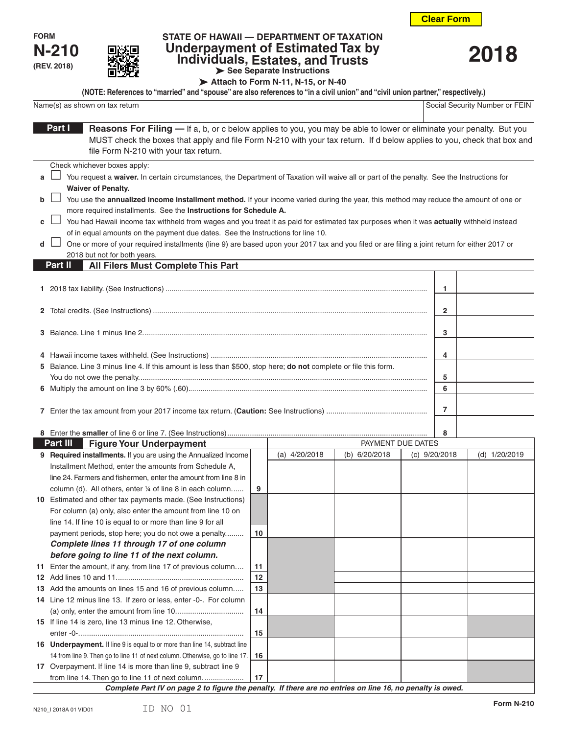



## **STATE OF HAWAII — DEPARTMENT OF TAXATION Underpayment of Estimated Tax by Individuals, Estates, and Trusts See Separate Instructions**

**2018**

|  | $\triangleright$ see separate instructions          |  |  |
|--|-----------------------------------------------------|--|--|
|  | $\triangleright$ Attach to Form N-11, N-15, or N-40 |  |  |

Name(s) as shown on tax return Social Security Number or FEIN **(NOTE: References to "married" and "spouse" are also references to "in a civil union" and "civil union partner," respectively.)**

|                                                                                                                                                                                                                                                                                                                                                                                                                                                                                                                                                                                                                                                                                                                                                                                                                                                                                                              | <b>Natile(5)</b> as SHOWH OIL LAX FELUITE                                                                                                                                                                                                                                                                                                                                                |    |                 |                                    |  |                 | SUCIAI SECUIILY INUITIDEI UI FEIN |
|--------------------------------------------------------------------------------------------------------------------------------------------------------------------------------------------------------------------------------------------------------------------------------------------------------------------------------------------------------------------------------------------------------------------------------------------------------------------------------------------------------------------------------------------------------------------------------------------------------------------------------------------------------------------------------------------------------------------------------------------------------------------------------------------------------------------------------------------------------------------------------------------------------------|------------------------------------------------------------------------------------------------------------------------------------------------------------------------------------------------------------------------------------------------------------------------------------------------------------------------------------------------------------------------------------------|----|-----------------|------------------------------------|--|-----------------|-----------------------------------|
| Part I<br>Reasons For Filing — If a, b, or c below applies to you, you may be able to lower or eliminate your penalty. But you<br>MUST check the boxes that apply and file Form N-210 with your tax return. If d below applies to you, check that box and<br>file Form N-210 with your tax return.                                                                                                                                                                                                                                                                                                                                                                                                                                                                                                                                                                                                           |                                                                                                                                                                                                                                                                                                                                                                                          |    |                 |                                    |  |                 |                                   |
| Check whichever boxes apply:<br>You request a waiver. In certain circumstances, the Department of Taxation will waive all or part of the penalty. See the Instructions for<br>a<br><b>Waiver of Penalty.</b><br>You use the annualized income installment method. If your income varied during the year, this method may reduce the amount of one or<br>b<br>more required installments. See the Instructions for Schedule A.<br>You had Hawaii income tax withheld from wages and you treat it as paid for estimated tax purposes when it was actually withheld instead<br>c<br>of in equal amounts on the payment due dates. See the Instructions for line 10.<br>One or more of your required installments (line 9) are based upon your 2017 tax and you filed or are filing a joint return for either 2017 or<br>d<br>2018 but not for both years.<br>All Filers Must Complete This Part<br>Part II<br>1 |                                                                                                                                                                                                                                                                                                                                                                                          |    |                 |                                    |  |                 |                                   |
|                                                                                                                                                                                                                                                                                                                                                                                                                                                                                                                                                                                                                                                                                                                                                                                                                                                                                                              |                                                                                                                                                                                                                                                                                                                                                                                          |    |                 |                                    |  | 2               |                                   |
|                                                                                                                                                                                                                                                                                                                                                                                                                                                                                                                                                                                                                                                                                                                                                                                                                                                                                                              |                                                                                                                                                                                                                                                                                                                                                                                          |    |                 |                                    |  | 3               |                                   |
|                                                                                                                                                                                                                                                                                                                                                                                                                                                                                                                                                                                                                                                                                                                                                                                                                                                                                                              | 4<br>5 Balance. Line 3 minus line 4. If this amount is less than \$500, stop here; do not complete or file this form.<br>5<br>6                                                                                                                                                                                                                                                          |    |                 |                                    |  |                 |                                   |
|                                                                                                                                                                                                                                                                                                                                                                                                                                                                                                                                                                                                                                                                                                                                                                                                                                                                                                              | 7                                                                                                                                                                                                                                                                                                                                                                                        |    |                 |                                    |  |                 |                                   |
|                                                                                                                                                                                                                                                                                                                                                                                                                                                                                                                                                                                                                                                                                                                                                                                                                                                                                                              |                                                                                                                                                                                                                                                                                                                                                                                          |    |                 |                                    |  | 8               |                                   |
|                                                                                                                                                                                                                                                                                                                                                                                                                                                                                                                                                                                                                                                                                                                                                                                                                                                                                                              | Part III<br><b>Figure Your Underpayment</b>                                                                                                                                                                                                                                                                                                                                              |    | (a) $4/20/2018$ | PAYMENT DUE DATES<br>(b) 6/20/2018 |  |                 | (d) 1/20/2019                     |
|                                                                                                                                                                                                                                                                                                                                                                                                                                                                                                                                                                                                                                                                                                                                                                                                                                                                                                              | 9 Required installments. If you are using the Annualized Income<br>Installment Method, enter the amounts from Schedule A,<br>line 24. Farmers and fishermen, enter the amount from line 8 in<br>column (d). All others, enter 1/4 of line 8 in each column<br>10 Estimated and other tax payments made. (See Instructions)<br>For column (a) only, also enter the amount from line 10 on | 9  |                 |                                    |  | (c) $9/20/2018$ |                                   |
|                                                                                                                                                                                                                                                                                                                                                                                                                                                                                                                                                                                                                                                                                                                                                                                                                                                                                                              | line 14. If line 10 is equal to or more than line 9 for all<br>payment periods, stop here; you do not owe a penalty<br>Complete lines 11 through 17 of one column<br>before going to line 11 of the next column.                                                                                                                                                                         | 10 |                 |                                    |  |                 |                                   |
| 11                                                                                                                                                                                                                                                                                                                                                                                                                                                                                                                                                                                                                                                                                                                                                                                                                                                                                                           | Enter the amount, if any, from line 17 of previous column                                                                                                                                                                                                                                                                                                                                | 11 |                 |                                    |  |                 |                                   |
|                                                                                                                                                                                                                                                                                                                                                                                                                                                                                                                                                                                                                                                                                                                                                                                                                                                                                                              |                                                                                                                                                                                                                                                                                                                                                                                          | 12 |                 |                                    |  |                 |                                   |
|                                                                                                                                                                                                                                                                                                                                                                                                                                                                                                                                                                                                                                                                                                                                                                                                                                                                                                              | 13 Add the amounts on lines 15 and 16 of previous column                                                                                                                                                                                                                                                                                                                                 | 13 |                 |                                    |  |                 |                                   |
|                                                                                                                                                                                                                                                                                                                                                                                                                                                                                                                                                                                                                                                                                                                                                                                                                                                                                                              | 14 Line 12 minus line 13. If zero or less, enter -0-. For column                                                                                                                                                                                                                                                                                                                         |    |                 |                                    |  |                 |                                   |
|                                                                                                                                                                                                                                                                                                                                                                                                                                                                                                                                                                                                                                                                                                                                                                                                                                                                                                              |                                                                                                                                                                                                                                                                                                                                                                                          | 14 |                 |                                    |  |                 |                                   |
|                                                                                                                                                                                                                                                                                                                                                                                                                                                                                                                                                                                                                                                                                                                                                                                                                                                                                                              | 15 If line 14 is zero, line 13 minus line 12. Otherwise,                                                                                                                                                                                                                                                                                                                                 |    |                 |                                    |  |                 |                                   |
|                                                                                                                                                                                                                                                                                                                                                                                                                                                                                                                                                                                                                                                                                                                                                                                                                                                                                                              |                                                                                                                                                                                                                                                                                                                                                                                          | 15 |                 |                                    |  |                 |                                   |
|                                                                                                                                                                                                                                                                                                                                                                                                                                                                                                                                                                                                                                                                                                                                                                                                                                                                                                              | 16 Underpayment. If line 9 is equal to or more than line 14, subtract line                                                                                                                                                                                                                                                                                                               |    |                 |                                    |  |                 |                                   |
|                                                                                                                                                                                                                                                                                                                                                                                                                                                                                                                                                                                                                                                                                                                                                                                                                                                                                                              | 14 from line 9. Then go to line 11 of next column. Otherwise, go to line 17.                                                                                                                                                                                                                                                                                                             | 16 |                 |                                    |  |                 |                                   |
|                                                                                                                                                                                                                                                                                                                                                                                                                                                                                                                                                                                                                                                                                                                                                                                                                                                                                                              | 17 Overpayment. If line 14 is more than line 9, subtract line 9                                                                                                                                                                                                                                                                                                                          |    |                 |                                    |  |                 |                                   |
|                                                                                                                                                                                                                                                                                                                                                                                                                                                                                                                                                                                                                                                                                                                                                                                                                                                                                                              | from line 14. Then go to line 11 of next column<br>Complete Dart IV on none 2 to figure the nonelty. If there are no entries on line 16, no nonelty in qued                                                                                                                                                                                                                              | 17 |                 |                                    |  |                 |                                   |